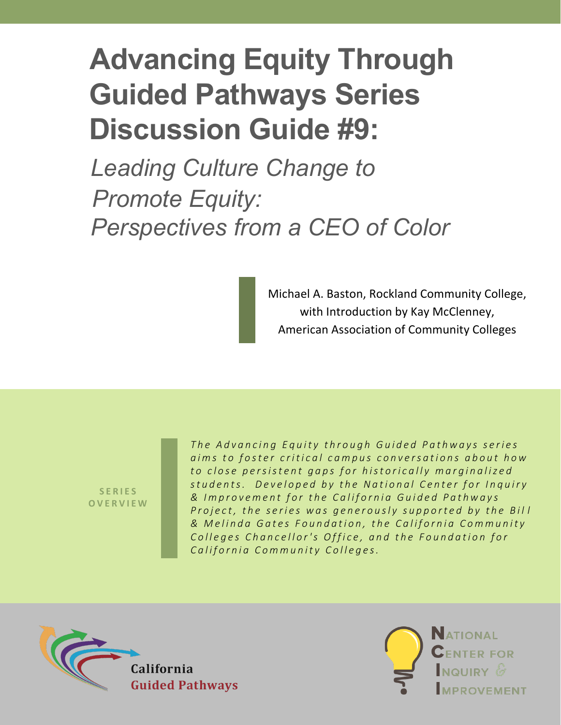# **Advancing Equity Through Guided Pathways Series Discussion Guide #9:**

*Leading Culture Change to Promote Equity: Perspectives from a CEO of Color*

> Michael A. Baston, Rockland Community College, with Introduction by Kay McClenney, American Association of Community Colleges

**SERIES OVERVIEW** *The Advancing Equity through Guided Pathways series aims to foster critical campus conversations about how to close persistent gaps for historically marginalized students. Developed by the National Center for Inquiry & Improvement for the California Guided Pathways Project, the series was generously supported by the Bill & Melinda Gates Foundation, the California Community Colleges Chancellor's Office, and the Foundation for California Community Colleges.*



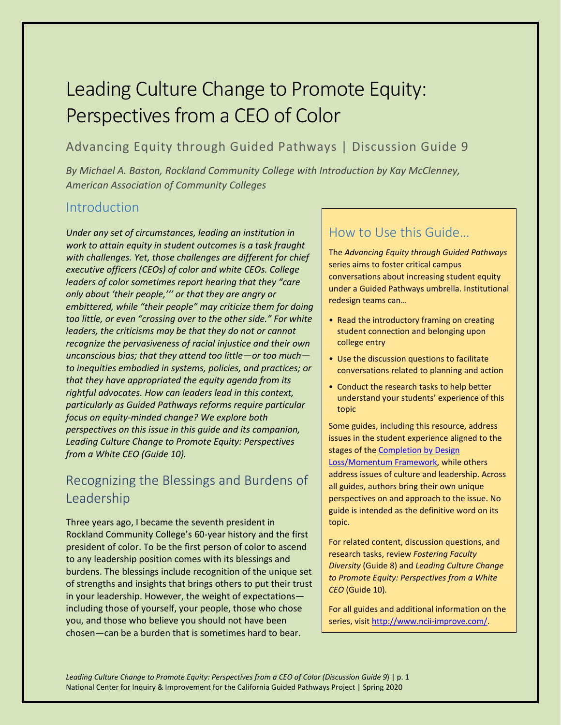## Leading Culture Change to Promote Equity: Perspectives from a CEO of Color

#### Advancing Equity through Guided Pathways | Discussion Guide 9

*By Michael A. Baston, Rockland Community College with Introduction by Kay McClenney, American Association of Community Colleges* 

#### **Introduction**

*Under any set of circumstances, leading an institution in work to attain equity in student outcomes is a task fraught with challenges. Yet, those challenges are different for chief executive officers (CEOs) of color and white CEOs. College leaders of color sometimes report hearing that they "care only about 'their people,''' or that they are angry or embittered, while "their people" may criticize them for doing too little, or even "crossing over to the other side." For white leaders, the criticisms may be that they do not or cannot recognize the pervasiveness of racial injustice and their own unconscious bias; that they attend too little—or too much to inequities embodied in systems, policies, and practices; or that they have appropriated the equity agenda from its rightful advocates. How can leaders lead in this context, particularly as Guided Pathways reforms require particular focus on equity-minded change? We explore both perspectives on this issue in this guide and its companion, Leading Culture Change to Promote Equity: Perspectives from a White CEO (Guide 10).* 

### Recognizing the Blessings and Burdens of Leadership

Three years ago, I became the seventh president in Rockland Community College's 60-year history and the first president of color. To be the first person of color to ascend to any leadership position comes with its blessings and burdens. The blessings include recognition of the unique set of strengths and insights that brings others to put their trust in your leadership. However, the weight of expectations including those of yourself, your people, those who chose you, and those who believe you should not have been chosen—can be a burden that is sometimes hard to bear.

#### How to Use this Guide…

The *Advancing Equity through Guided Pathways* series aims to foster critical campus conversations about increasing student equity under a Guided Pathways umbrella. Institutional redesign teams can…

- Read the introductory framing on creating student connection and belonging upon college entry
- Use the discussion questions to facilitate conversations related to planning and action
- Conduct the research tasks to help better understand your students' experience of this topic

Some guides, including this resource, address issues in the student experience aligned to the stages of the Completion by Design [Loss/Momentum](https://www.completionbydesign.org/s/cbd-lmf) Framework, while others address issues of culture and leadership. Across all guides, authors bring their own unique perspectives on and approach to the issue. No guide is intended as the definitive word on its topic.

For related content, discussion questions, and research tasks, review *Fostering Faculty Diversity* (Guide 8) and *Leading Culture Change to Promote Equity: Perspectives from a White CEO* (Guide 10)*.*

For all guides and additional information on the series, visit http://www.ncii-improve.com/.

*Leading Culture Change to Promote Equity: Perspectives from a CEO of Color (Discussion Guide 9*) | p. 1 National Center for Inquiry & Improvement for the California Guided Pathways Project | Spring 2020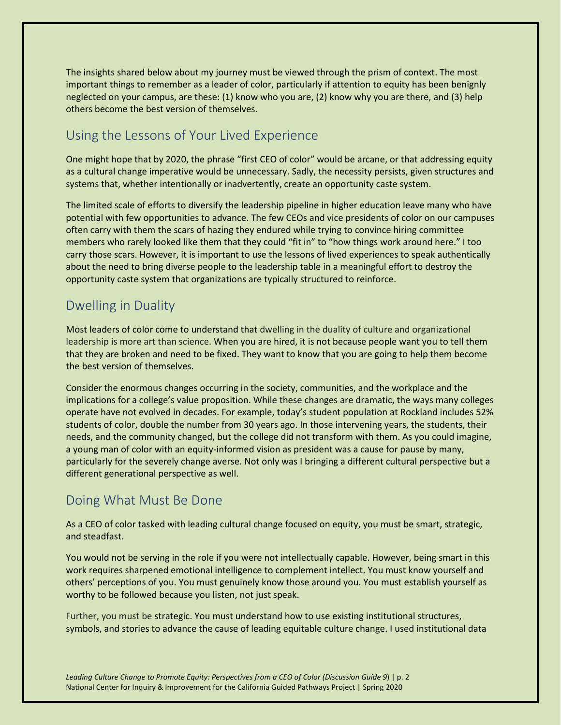The insights shared below about my journey must be viewed through the prism of context. The most important things to remember as a leader of color, particularly if attention to equity has been benignly neglected on your campus, are these: (1) know who you are, (2) know why you are there, and (3) help others become the best version of themselves.

#### Using the Lessons of Your Lived Experience

One might hope that by 2020, the phrase "first CEO of color" would be arcane, or that addressing equity as a cultural change imperative would be unnecessary. Sadly, the necessity persists, given structures and systems that, whether intentionally or inadvertently, create an opportunity caste system.

The limited scale of efforts to diversify the leadership pipeline in higher education leave many who have potential with few opportunities to advance. The few CEOs and vice presidents of color on our campuses often carry with them the scars of hazing they endured while trying to convince hiring committee members who rarely looked like them that they could "fit in" to "how things work around here." I too carry those scars. However, it is important to use the lessons of lived experiences to speak authentically about the need to bring diverse people to the leadership table in a meaningful effort to destroy the opportunity caste system that organizations are typically structured to reinforce.

#### Dwelling in Duality

Most leaders of color come to understand that dwelling in the duality of culture and organizational leadership is more art than science. When you are hired, it is not because people want you to tell them that they are broken and need to be fixed. They want to know that you are going to help them become the best version of themselves.

Consider the enormous changes occurring in the society, communities, and the workplace and the implications for a college's value proposition. While these changes are dramatic, the ways many colleges operate have not evolved in decades. For example, today's student population at Rockland includes 52% students of color, double the number from 30 years ago. In those intervening years, the students, their needs, and the community changed, but the college did not transform with them. As you could imagine, a young man of color with an equity-informed vision as president was a cause for pause by many, particularly for the severely change averse. Not only was I bringing a different cultural perspective but a different generational perspective as well.

#### Doing What Must Be Done

As a CEO of color tasked with leading cultural change focused on equity, you must be smart, strategic, and steadfast.

You would not be serving in the role if you were not intellectually capable. However, being smart in this work requires sharpened emotional intelligence to complement intellect. You must know yourself and others' perceptions of you. You must genuinely know those around you. You must establish yourself as worthy to be followed because you listen, not just speak.

Further, you must be strategic. You must understand how to use existing institutional structures, symbols, and stories to advance the cause of leading equitable culture change. I used institutional data

*Leading Culture Change to Promote Equity: Perspectives from a CEO of Color (Discussion Guide 9*) | p. 2 National Center for Inquiry & Improvement for the California Guided Pathways Project | Spring 2020